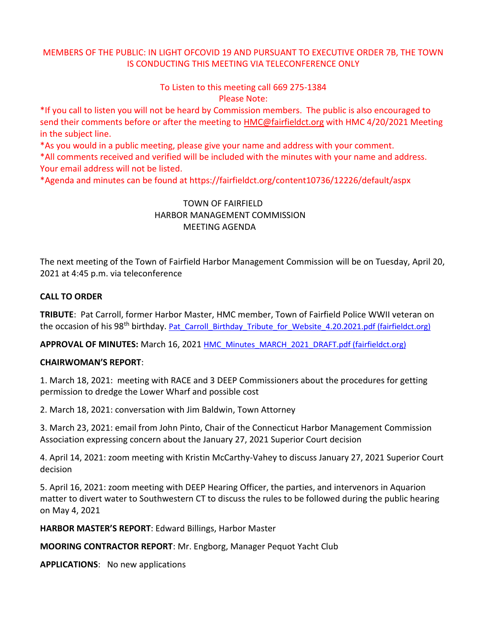# MEMBERS OF THE PUBLIC: IN LIGHT OFCOVID 19 AND PURSUANT TO EXECUTIVE ORDER 7B, THE TOWN IS CONDUCTING THIS MEETING VIA TELECONFERENCE ONLY

To Listen to this meeting call 669 275-1384 Please Note:

\*If you call to listen you will not be heard by Commission members. The public is also encouraged to send their comments before or after the meeting to [HMC@fairfieldct.org](mailto:HMC@fairfieldct.org) with HMC 4/20/2021 Meeting in the subject line.

\*As you would in a public meeting, please give your name and address with your comment.

\*All comments received and verified will be included with the minutes with your name and address. Your email address will not be listed.

\*Agenda and minutes can be found at https://fairfieldct.org/content10736/12226/default/aspx

# TOWN OF FAIRFIELD HARBOR MANAGEMENT COMMISSION MEETING AGENDA

The next meeting of the Town of Fairfield Harbor Management Commission will be on Tuesday, April 20, 2021 at 4:45 p.m. via teleconference

## **CALL TO ORDER**

**TRIBUTE**: Pat Carroll, former Harbor Master, HMC member, Town of Fairfield Police WWII veteran on the occasion of his 98<sup>th</sup> birthday. [Pat\\_Carroll\\_Birthday\\_Tribute\\_for\\_Website\\_4.20.2021.pdf \(fairfieldct.org\)](https://www.fairfieldct.org/filestorage/10736/12067/17037/66861/94822/106515/Pat_Carroll_Birthday_Tribute_for_Website_4.20.2021.pdf)

**APPROVAL OF MINUTES:** March 16, 2021 [HMC\\_Minutes\\_MARCH\\_2021\\_DRAFT.pdf \(fairfieldct.org\)](https://www.fairfieldct.org/filestorage/10736/12067/17037/66861/94822/106515/HMC_Minutes_MARCH_2021_DRAFT.pdf)

### **CHAIRWOMAN'S REPORT**:

1. March 18, 2021: meeting with RACE and 3 DEEP Commissioners about the procedures for getting permission to dredge the Lower Wharf and possible cost

2. March 18, 2021: conversation with Jim Baldwin, Town Attorney

3. March 23, 2021: email from John Pinto, Chair of the Connecticut Harbor Management Commission Association expressing concern about the January 27, 2021 Superior Court decision

4. April 14, 2021: zoom meeting with Kristin McCarthy-Vahey to discuss January 27, 2021 Superior Court decision

5. April 16, 2021: zoom meeting with DEEP Hearing Officer, the parties, and intervenors in Aquarion matter to divert water to Southwestern CT to discuss the rules to be followed during the public hearing on May 4, 2021

**HARBOR MASTER'S REPORT**: Edward Billings, Harbor Master

**MOORING CONTRACTOR REPORT**: Mr. Engborg, Manager Pequot Yacht Club

**APPLICATIONS**: No new applications